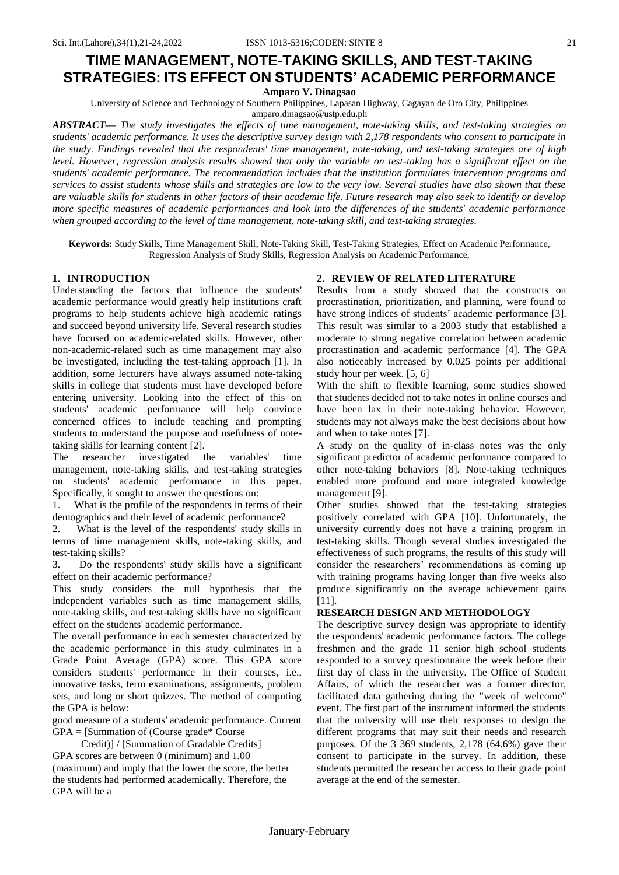**Amparo V. Dinagsao**

University of Science and Technology of Southern Philippines, Lapasan Highway, Cagayan de Oro City, Philippines

amparo.dinagsao@ustp.edu.ph

*ABSTRACT***—** *The study investigates the effects of time management, note-taking skills, and test-taking strategies on students' academic performance. It uses the descriptive survey design with 2,178 respondents who consent to participate in the study. Findings revealed that the respondents' time management, note-taking, and test-taking strategies are of high level. However, regression analysis results showed that only the variable on test-taking has a significant effect on the students' academic performance. The recommendation includes that the institution formulates intervention programs and services to assist students whose skills and strategies are low to the very low. Several studies have also shown that these are valuable skills for students in other factors of their academic life. Future research may also seek to identify or develop more specific measures of academic performances and look into the differences of the students' academic performance when grouped according to the level of time management, note-taking skill, and test-taking strategies.*

**Keywords:** Study Skills, Time Management Skill, Note-Taking Skill, Test-Taking Strategies, Effect on Academic Performance, Regression Analysis of Study Skills, Regression Analysis on Academic Performance,

# **1. INTRODUCTION**

Understanding the factors that influence the students' academic performance would greatly help institutions craft programs to help students achieve high academic ratings and succeed beyond university life. Several research studies have focused on academic-related skills. However, other non-academic-related such as time management may also be investigated, including the test-taking approach [1]. In addition, some lecturers have always assumed note-taking skills in college that students must have developed before entering university. Looking into the effect of this on students' academic performance will help convince concerned offices to include teaching and prompting students to understand the purpose and usefulness of notetaking skills for learning content [2].

The researcher investigated the variables' time management, note-taking skills, and test-taking strategies on students' academic performance in this paper. Specifically, it sought to answer the questions on:

1. What is the profile of the respondents in terms of their demographics and their level of academic performance?

2. What is the level of the respondents' study skills in terms of time management skills, note-taking skills, and test-taking skills?

3. Do the respondents' study skills have a significant effect on their academic performance?

This study considers the null hypothesis that the independent variables such as time management skills, note-taking skills, and test-taking skills have no significant effect on the students' academic performance.

The overall performance in each semester characterized by the academic performance in this study culminates in a Grade Point Average (GPA) score. This GPA score considers students' performance in their courses, i.e., innovative tasks, term examinations, assignments, problem sets, and long or short quizzes. The method of computing the GPA is below:

good measure of a students' academic performance. Current GPA = [Summation of (Course grade\* Course

 Credit)] / [Summation of Gradable Credits] GPA scores are between 0 (minimum) and 1.00 (maximum) and imply that the lower the score, the better the students had performed academically. Therefore, the GPA will be a

## **2. REVIEW OF RELATED LITERATURE**

Results from a study showed that the constructs on procrastination, prioritization, and planning, were found to have strong indices of students' academic performance [3]. This result was similar to a 2003 study that established a moderate to strong negative correlation between academic procrastination and academic performance [4]. The GPA also noticeably increased by 0.025 points per additional study hour per week. [5, 6]

With the shift to flexible learning, some studies showed that students decided not to take notes in online courses and have been lax in their note-taking behavior. However, students may not always make the best decisions about how and when to take notes [7].

A study on the quality of in-class notes was the only significant predictor of academic performance compared to other note-taking behaviors [8]. Note-taking techniques enabled more profound and more integrated knowledge management [9].

Other studies showed that the test-taking strategies positively correlated with GPA [10]. Unfortunately, the university currently does not have a training program in test-taking skills. Though several studies investigated the effectiveness of such programs, the results of this study will consider the researchers' recommendations as coming up with training programs having longer than five weeks also produce significantly on the average achievement gains [11].

# **RESEARCH DESIGN AND METHODOLOGY**

The descriptive survey design was appropriate to identify the respondents' academic performance factors. The college freshmen and the grade 11 senior high school students responded to a survey questionnaire the week before their first day of class in the university. The Office of Student Affairs, of which the researcher was a former director, facilitated data gathering during the "week of welcome" event. The first part of the instrument informed the students that the university will use their responses to design the different programs that may suit their needs and research purposes. Of the 3 369 students, 2,178 (64.6%) gave their consent to participate in the survey. In addition, these students permitted the researcher access to their grade point average at the end of the semester.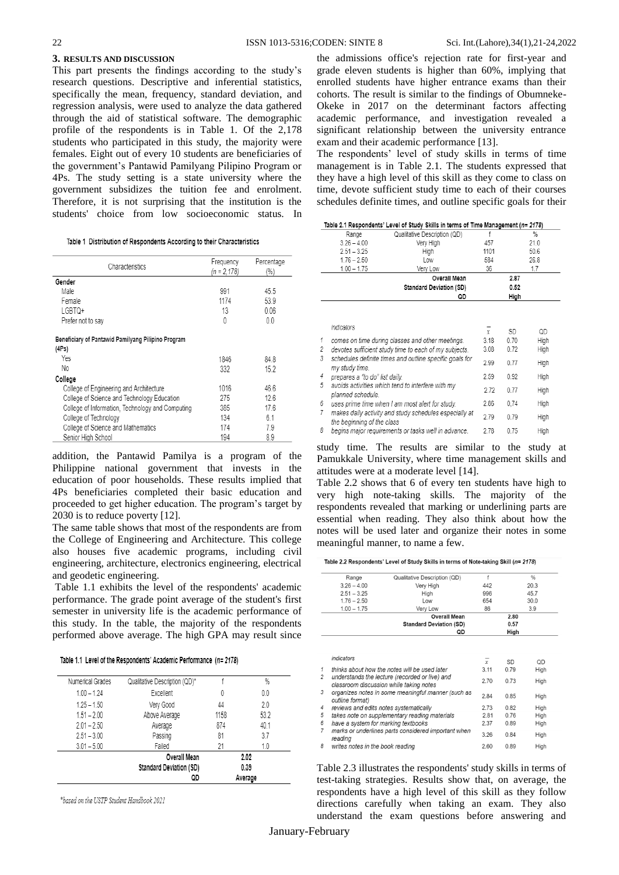## **3. RESULTS AND DISCUSSION**

This part presents the findings according to the study's research questions. Descriptive and inferential statistics, specifically the mean, frequency, standard deviation, and regression analysis, were used to analyze the data gathered through the aid of statistical software. The demographic profile of the respondents is in Table 1. Of the 2,178 students who participated in this study, the majority were females. Eight out of every 10 students are beneficiaries of the government's Pantawid Pamilyang Pilipino Program or 4Ps. The study setting is a state university where the government subsidizes the tuition fee and enrolment. Therefore, it is not surprising that the institution is the students' choice from low socioeconomic status. In

|  |  | Table 1 Distribution of Respondents According to their Characteristics |
|--|--|------------------------------------------------------------------------|
|  |  |                                                                        |

| Characteristics                                             | Frequency<br>$(n = 2, 178)$ | Percentage<br>(%) |
|-------------------------------------------------------------|-----------------------------|-------------------|
| Gender                                                      |                             |                   |
| Male                                                        | 991                         | 45.5              |
| Female                                                      | 1174                        | 53.9              |
| LGBTQ+                                                      | 13                          | 0.06              |
| Prefer not to say                                           | 0                           | 0 <sub>0</sub>    |
| Beneficiary of Pantawid Pamilyang Pilipino Program<br>(4Ps) |                             |                   |
| Yes                                                         | 1846                        | 848               |
| No                                                          | 332                         | 15.2              |
| College                                                     |                             |                   |
| College of Engineering and Architecture                     | 1016                        | 466               |
| College of Science and Technology Education                 | 275                         | 126               |
| College of Information, Technology and Computing            | 385                         | 176               |
| College of Technology                                       | 134                         | 61                |
| College of Science and Mathematics                          | 174                         | 7.9               |
| Senior High School                                          | 194                         | 8.9               |

addition, the Pantawid Pamilya is a program of the Philippine national government that invests in the education of poor households. These results implied that 4Ps beneficiaries completed their basic education and proceeded to get higher education. The program's target by 2030 is to reduce poverty [12].

The same table shows that most of the respondents are from the College of Engineering and Architecture. This college also houses five academic programs, including civil engineering, architecture, electronics engineering, electrical and geodetic engineering.

Table 1.1 exhibits the level of the respondents' academic performance. The grade point average of the student's first semester in university life is the academic performance of this study. In the table, the majority of the respondents performed above average. The high GPA may result since

|  | Table 1.1 Level of the Respondents' Academic Performance (n= 2178) |  |  |
|--|--------------------------------------------------------------------|--|--|
|  |                                                                    |  |  |

|                  | QD                                                    |      | Average       |
|------------------|-------------------------------------------------------|------|---------------|
|                  | <b>Overall Mean</b><br><b>Standard Deviation (SD)</b> |      | 2.02<br>0.39  |
| $3.01 - 5.00$    | Failed                                                | 21   | 1.0           |
| $2.51 - 3.00$    | Passing                                               | 81   | 3.7           |
| $2.01 - 2.50$    | Average                                               | 874  | 40.1          |
| $1.51 - 2.00$    | Above Average                                         | 1158 | 53.2          |
| $1.25 - 1.50$    | Very Good                                             | 44   | 2.0           |
| $1.00 - 1.24$    | Excellent                                             | 0    | 0.0           |
| Numerical Grades | Qualitative Description (QD)*                         |      | $\frac{0}{0}$ |

\*based on the USTP Student Handbook 2021

the admissions office's rejection rate for first-year and grade eleven students is higher than 60%, implying that enrolled students have higher entrance exams than their cohorts. The result is similar to the findings of Obumneke-Okeke in 2017 on the determinant factors affecting academic performance, and investigation revealed a significant relationship between the university entrance exam and their academic performance [13].

The respondents' level of study skills in terms of time management is in Table 2.1. The students expressed that they have a high level of this skill as they come to class on time, devote sufficient study time to each of their courses schedules definite times, and outline specific goals for their

| Table 2.1 Respondents' Level of Study Skills in terms of Time Management (n= 2178) |
|------------------------------------------------------------------------------------|
|                                                                                    |

|        |                                | $1000$ $\leq$ $1000$ $\leq$ $1000$ $\leq$ $1000$ $\leq$ $1000$ $\leq$ $1000$ $\leq$ $1000$ $\leq$ $1000$         |                |      |               |
|--------|--------------------------------|------------------------------------------------------------------------------------------------------------------|----------------|------|---------------|
|        | Range                          | Qualitative Description (QD)                                                                                     | f              |      | $\frac{0}{0}$ |
|        | $3.26 - 4.00$                  | Very High                                                                                                        | 457            |      | 21.0          |
|        | $2.51 - 3.25$                  | High                                                                                                             | 1101           |      | 50.6          |
|        | $1.76 - 2.50$                  | Low                                                                                                              | 584            |      | 26.8          |
|        | $1.00 - 1.75$                  | Very Low                                                                                                         | 36             |      | 1.7           |
|        |                                | Overall Mean                                                                                                     |                | 2.87 |               |
|        |                                | <b>Standard Deviation (SD)</b>                                                                                   |                | 0.52 |               |
|        |                                | QD                                                                                                               |                | High |               |
|        | indicators                     |                                                                                                                  | $\overline{r}$ | SD   | QD            |
| 1      |                                | comes on time during classes and other meetings.                                                                 | 3.18           | 0.70 | High          |
| 2<br>3 |                                | devotes sufficient study time to each of my subjects.<br>schedules definite times and outline specific goals for | 3.08           | 0.72 | High          |
|        | my study time.                 |                                                                                                                  | 2.99           | 0.77 | High          |
| 4<br>5 | prepares a "to do" list daily. | avoids activities which tend to interfere with my                                                                | 2.59           | 0.92 | High          |
|        | planned schedule.              |                                                                                                                  | 2.72           | 0.77 | High          |
| 6<br>7 |                                | uses prime time when I am most alert for study.<br>makes daily activity and study schedules especially at        | 2.86           | 0,74 | High          |
|        | the beginning of the class     |                                                                                                                  | 2.79           | 0.79 | High          |
| 8      |                                | begins major reguirements or tasks well in advance.                                                              | 2.78           | 0.75 | High          |
|        |                                |                                                                                                                  |                |      |               |

study time. The results are similar to the study at Pamukkale University, where time management skills and attitudes were at a moderate level [14].

Table 2.2 shows that 6 of every ten students have high to very high note-taking skills. The majority of the respondents revealed that marking or underlining parts are essential when reading. They also think about how the notes will be used later and organize their notes in some meaningful manner, to name a few.

Table 2.2 Respondents' Level of Study Skills in terms of Note-taking Skill (n= 2178)

| Range                               | Qualitative Description (QD)                                                              | f      |      | $\frac{0}{0}$                |  |
|-------------------------------------|-------------------------------------------------------------------------------------------|--------|------|------------------------------|--|
| $3.26 - 4.00$                       | Very High                                                                                 | 442    |      | 20.3<br>45.7                 |  |
| $2.51 - 3.25$                       | High                                                                                      | 996    |      |                              |  |
| $1.76 - 2.50$                       | Low                                                                                       | 654    |      | 30.0                         |  |
| $1.00 - 1.75$                       | Very Low                                                                                  | 86     |      | 3.9                          |  |
|                                     | <b>Overall Mean</b>                                                                       |        | 2.80 |                              |  |
|                                     | <b>Standard Deviation (SD)</b>                                                            |        | 0.57 |                              |  |
|                                     | QD                                                                                        |        | High |                              |  |
|                                     |                                                                                           | $\chi$ | SD   | OD                           |  |
| indicators                          |                                                                                           |        |      |                              |  |
|                                     | thinks about how the notes will be used later                                             | 3.11   | 0.79 | High                         |  |
|                                     | understands the lecture (recorded or live) and<br>classroom discussion while taking notes | 2.70   | 0.73 | High                         |  |
| outline format)                     | organizes notes in some meaningful manner (such as                                        | 2.84   | 0.85 |                              |  |
|                                     | reviews and edits notes systematically                                                    | 2.73   | 0.82 |                              |  |
|                                     | takes note on supplementary reading materials                                             | 2.81   | 0.76 | High                         |  |
| have a system for marking textbooks |                                                                                           | 2.37   | 0.89 |                              |  |
| reading                             | marks or underlines parts considered important when                                       | 3.26   | 0.84 | High<br>High<br>High<br>High |  |

Table 2.3 illustrates the respondents' study skills in terms of test-taking strategies. Results show that, on average, the respondents have a high level of this skill as they follow directions carefully when taking an exam. They also understand the exam questions before answering and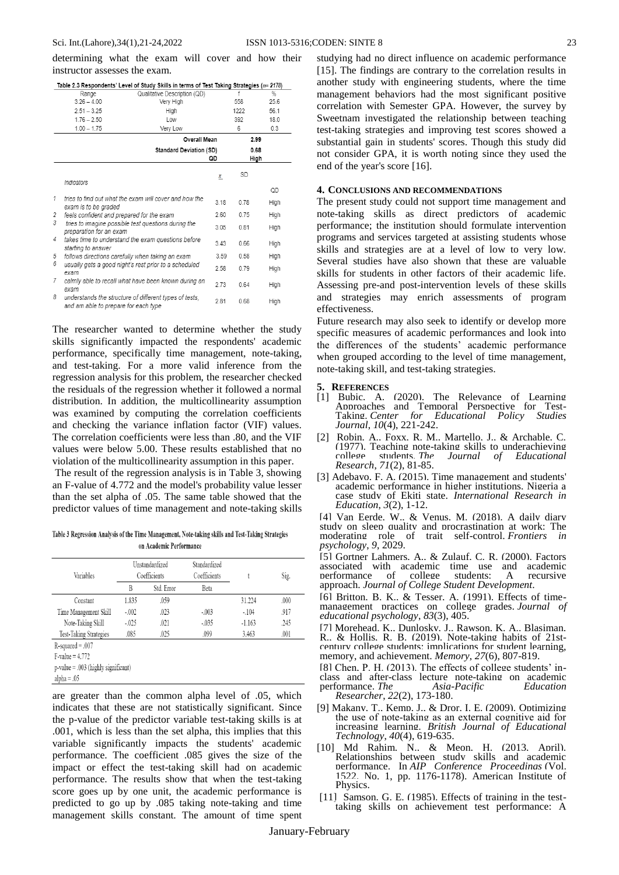determining what the exam will cover and how their instructor assesses the exam.

|   |                                                  | Table 2.3 Respondents' Level of Study Skills in terms of Test Taking Strategies ( $n$ = 2178) |               |      |               |
|---|--------------------------------------------------|-----------------------------------------------------------------------------------------------|---------------|------|---------------|
|   | Range                                            | Qualitative Description (QD)                                                                  |               |      | $\frac{9}{6}$ |
|   | $3.26 - 4.00$                                    | Very High                                                                                     |               | 558  | 25.6          |
|   | $2.51 - 3.25$                                    | High                                                                                          |               | 1222 | 56.1          |
|   | $1.76 - 2.50$                                    | Low                                                                                           |               | 392  | 18.0          |
|   | $1.00 - 1.75$                                    | Very Low                                                                                      |               | 6    | 0.3           |
|   |                                                  | Overall Mean                                                                                  |               | 2.99 |               |
|   |                                                  | <b>Standard Deviation (SD)</b>                                                                |               | 0.68 |               |
|   |                                                  |                                                                                               | QD            | High |               |
|   | Indicators                                       |                                                                                               | $\frac{x}{2}$ | SD   |               |
|   |                                                  |                                                                                               |               |      | QD            |
| 1 | exam is to be graded                             | tries to find out what the exam will cover and how the                                        | 3.18          | 0.78 | High          |
| 2 | feels confident and prepared for the exam        |                                                                                               | 2.60          | 0.75 | High          |
| 3 | preparation for an exam                          | tries to imagine possible test questions during the                                           | 3.05          | 0.81 | High          |
| 4 | starting to answer                               | takes time to understand the exam questions before                                            | 3.43          | 0.66 | High          |
| 5 | follows directions carefully when taking an exam |                                                                                               | 3.59          | 0.58 | High          |
| 6 | exam                                             | usually gets a good night's rest prior to a scheduled                                         | 2.58          | 0.79 | High          |
| 7 | exam                                             | calmly able to recall what have been known during an                                          | 2.73          | 0.64 | High          |
| 8 | and am able to prepare for each type             | understands the structure of different types of tests.                                        | 2.81          | 0.68 | High          |

The researcher wanted to determine whether the study skills significantly impacted the respondents' academic performance, specifically time management, note-taking, and test-taking. For a more valid inference from the regression analysis for this problem, the researcher checked the residuals of the regression whether it followed a normal distribution. In addition, the multicollinearity assumption was examined by computing the correlation coefficients and checking the variance inflation factor (VIF) values. The correlation coefficients were less than .80, and the VIF values were below 5.00. These results established that no violation of the multicollinearity assumption in this paper.

The result of the regression analysis is in Table 3, showing an F-value of 4.772 and the model's probability value lesser than the set alpha of .05. The same table showed that the predictor values of time management and note-taking skills

Table 3 Regression Analysis of the Time Management, Note-taking skills and Test-Taking Strategies on Academic Performance

| Variables                             | Unstandardized<br>Coefficients |            | Standardized<br>Coefficients |          | Sig. |
|---------------------------------------|--------------------------------|------------|------------------------------|----------|------|
|                                       | B                              | Std. Error | Beta                         |          |      |
| Constant                              | 1.835                          | .059       |                              | 31.224   | .000 |
| Time Management Skill                 | $-.002$                        | .023       | $-.003$                      | $-.104$  | .917 |
| Note-Taking Skill                     | $-.025$                        | .021       | $-035$                       | $-1.163$ | .245 |
| Test-Taking Strategies                | .085                           | .025       | .099                         | 3.463    | .001 |
| $R$ -squared = .007                   |                                |            |                              |          |      |
| $F-value = 4.772$                     |                                |            |                              |          |      |
| $p-value = .003$ (highly significant) |                                |            |                              |          |      |

 $alpha = .05$ 

are greater than the common alpha level of .05, which indicates that these are not statistically significant. Since the p-value of the predictor variable test-taking skills is at .001, which is less than the set alpha, this implies that this variable significantly impacts the students' academic performance. The coefficient .085 gives the size of the impact or effect the test-taking skill had on academic performance. The results show that when the test-taking score goes up by one unit, the academic performance is predicted to go up by .085 taking note-taking and time management skills constant. The amount of time spent studying had no direct influence on academic performance [15]. The findings are contrary to the correlation results in another study with engineering students, where the time management behaviors had the most significant positive correlation with Semester GPA. However, the survey by Sweetnam investigated the relationship between teaching test-taking strategies and improving test scores showed a substantial gain in students' scores. Though this study did not consider GPA, it is worth noting since they used the end of the year's score [16].

### **4. CONCLUSIONS AND RECOMMENDATIONS**

The present study could not support time management and note-taking skills as direct predictors of academic performance; the institution should formulate intervention programs and services targeted at assisting students whose skills and strategies are at a level of low to very low. Several studies have also shown that these are valuable skills for students in other factors of their academic life. Assessing pre-and post-intervention levels of these skills and strategies may enrich assessments of program effectiveness.

Future research may also seek to identify or develop more specific measures of academic performances and look into the differences of the students' academic performance when grouped according to the level of time management, note-taking skill, and test-taking strategies.

#### **5. REFERENCES**

- [1] Bubic, A. (2020). The Relevance of Learning Approaches and Temporal Perspective for Test-Taking. *Center for Educational Policy Studies Journal*, *10*(4), 221-242.
- [2] Robin, A., Foxx, R. M., Martello, J., & Archable, C. (1977). Teaching note-taking skills to underachieving college students. The Journal of Educational college students. *The Journal of Educational Research*, *71*(2), 81-85.
- [3] Adebayo, F. A. (2015). Time management and students' academic performance in higher institutions, Nigeria a case study of Ekiti state. *International Research in Education*, *3*(2), 1-12.

[4] Van Eerde, W., & Venus, M. (2018). A daily diary study on sleep quality and procrastination at work: The moderating role of trait self-control. *Frontiers in psychology*, *9*, 2029.

[5] Gortner Lahmers, A., & Zulauf, C. R. (2000). Factors associated with academic time use and academic performance of college students: A recursive approach. *Journal of College Student Development*.

[6] Britton, B. K., & Tesser, A. (1991). Effects of timemanagement practices on college grades. *Journal of educational psychology*, *83*(3), 405.

[7] Morehead, K., Dunlosky, J., Rawson, K. A., Blasiman, R., & Hollis, R. B. (2019). Note-taking habits of 21stcentury college students: implications for student learning, memory, and achievement. *Memory*, *27*(6), 807-819.

- [8] Chen, P. H. (2013). The effects of college students' inclass and after-class lecture note-taking on academic<br>performance. The Asia-Pacific Education performance. The *Researcher*, *22*(2), 173-180.
- [9] Makany, T., Kemp, J., & Dror, I. E. (2009). Optimizing the use of note‐taking as an external cognitive aid for increasing learning. *British Journal of Educational Technology*, *40*(4), 619-635.
- [10] Md Rahim, N., & Meon, H. (2013, April). Relationships between study skills and academic performance. In *AIP Conference Proceedings* (Vol. 1522, No. 1, pp. 1176-1178). American Institute of Physics.
- [11] Samson, G. E. (1985). Effects of training in the testtaking skills on achievement test performance: A